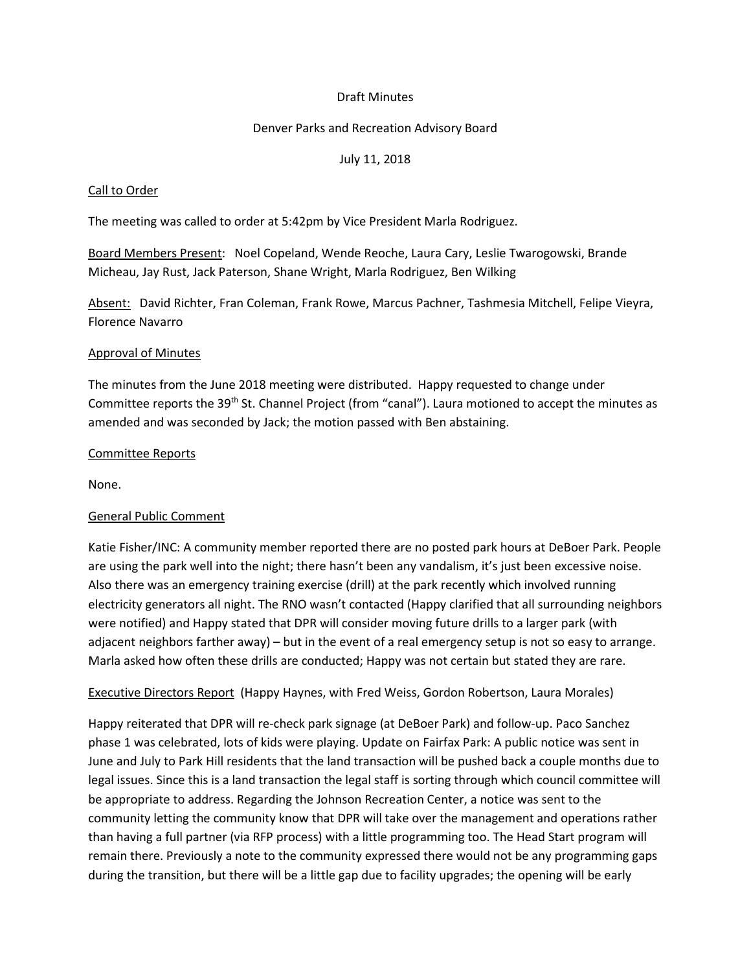# Draft Minutes

## Denver Parks and Recreation Advisory Board

## July 11, 2018

### Call to Order

The meeting was called to order at 5:42pm by Vice President Marla Rodriguez.

Board Members Present: Noel Copeland, Wende Reoche, Laura Cary, Leslie Twarogowski, Brande Micheau, Jay Rust, Jack Paterson, Shane Wright, Marla Rodriguez, Ben Wilking

Absent: David Richter, Fran Coleman, Frank Rowe, Marcus Pachner, Tashmesia Mitchell, Felipe Vieyra, Florence Navarro

## Approval of Minutes

The minutes from the June 2018 meeting were distributed. Happy requested to change under Committee reports the 39<sup>th</sup> St. Channel Project (from "canal"). Laura motioned to accept the minutes as amended and was seconded by Jack; the motion passed with Ben abstaining.

## Committee Reports

None.

# General Public Comment

Katie Fisher/INC: A community member reported there are no posted park hours at DeBoer Park. People are using the park well into the night; there hasn't been any vandalism, it's just been excessive noise. Also there was an emergency training exercise (drill) at the park recently which involved running electricity generators all night. The RNO wasn't contacted (Happy clarified that all surrounding neighbors were notified) and Happy stated that DPR will consider moving future drills to a larger park (with adjacent neighbors farther away) – but in the event of a real emergency setup is not so easy to arrange. Marla asked how often these drills are conducted; Happy was not certain but stated they are rare.

#### Executive Directors Report (Happy Haynes, with Fred Weiss, Gordon Robertson, Laura Morales)

Happy reiterated that DPR will re-check park signage (at DeBoer Park) and follow-up. Paco Sanchez phase 1 was celebrated, lots of kids were playing. Update on Fairfax Park: A public notice was sent in June and July to Park Hill residents that the land transaction will be pushed back a couple months due to legal issues. Since this is a land transaction the legal staff is sorting through which council committee will be appropriate to address. Regarding the Johnson Recreation Center, a notice was sent to the community letting the community know that DPR will take over the management and operations rather than having a full partner (via RFP process) with a little programming too. The Head Start program will remain there. Previously a note to the community expressed there would not be any programming gaps during the transition, but there will be a little gap due to facility upgrades; the opening will be early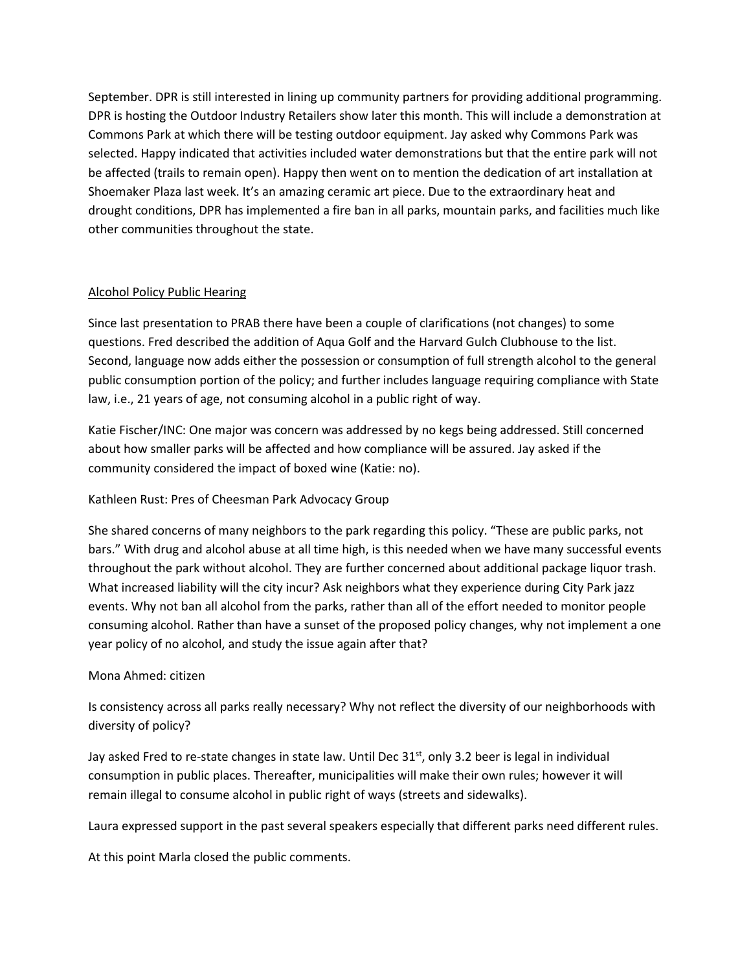September. DPR is still interested in lining up community partners for providing additional programming. DPR is hosting the Outdoor Industry Retailers show later this month. This will include a demonstration at Commons Park at which there will be testing outdoor equipment. Jay asked why Commons Park was selected. Happy indicated that activities included water demonstrations but that the entire park will not be affected (trails to remain open). Happy then went on to mention the dedication of art installation at Shoemaker Plaza last week. It's an amazing ceramic art piece. Due to the extraordinary heat and drought conditions, DPR has implemented a fire ban in all parks, mountain parks, and facilities much like other communities throughout the state.

# Alcohol Policy Public Hearing

Since last presentation to PRAB there have been a couple of clarifications (not changes) to some questions. Fred described the addition of Aqua Golf and the Harvard Gulch Clubhouse to the list. Second, language now adds either the possession or consumption of full strength alcohol to the general public consumption portion of the policy; and further includes language requiring compliance with State law, i.e., 21 years of age, not consuming alcohol in a public right of way.

Katie Fischer/INC: One major was concern was addressed by no kegs being addressed. Still concerned about how smaller parks will be affected and how compliance will be assured. Jay asked if the community considered the impact of boxed wine (Katie: no).

# Kathleen Rust: Pres of Cheesman Park Advocacy Group

She shared concerns of many neighbors to the park regarding this policy. "These are public parks, not bars." With drug and alcohol abuse at all time high, is this needed when we have many successful events throughout the park without alcohol. They are further concerned about additional package liquor trash. What increased liability will the city incur? Ask neighbors what they experience during City Park jazz events. Why not ban all alcohol from the parks, rather than all of the effort needed to monitor people consuming alcohol. Rather than have a sunset of the proposed policy changes, why not implement a one year policy of no alcohol, and study the issue again after that?

# Mona Ahmed: citizen

Is consistency across all parks really necessary? Why not reflect the diversity of our neighborhoods with diversity of policy?

Jay asked Fred to re-state changes in state law. Until Dec  $31<sup>st</sup>$ , only 3.2 beer is legal in individual consumption in public places. Thereafter, municipalities will make their own rules; however it will remain illegal to consume alcohol in public right of ways (streets and sidewalks).

Laura expressed support in the past several speakers especially that different parks need different rules.

At this point Marla closed the public comments.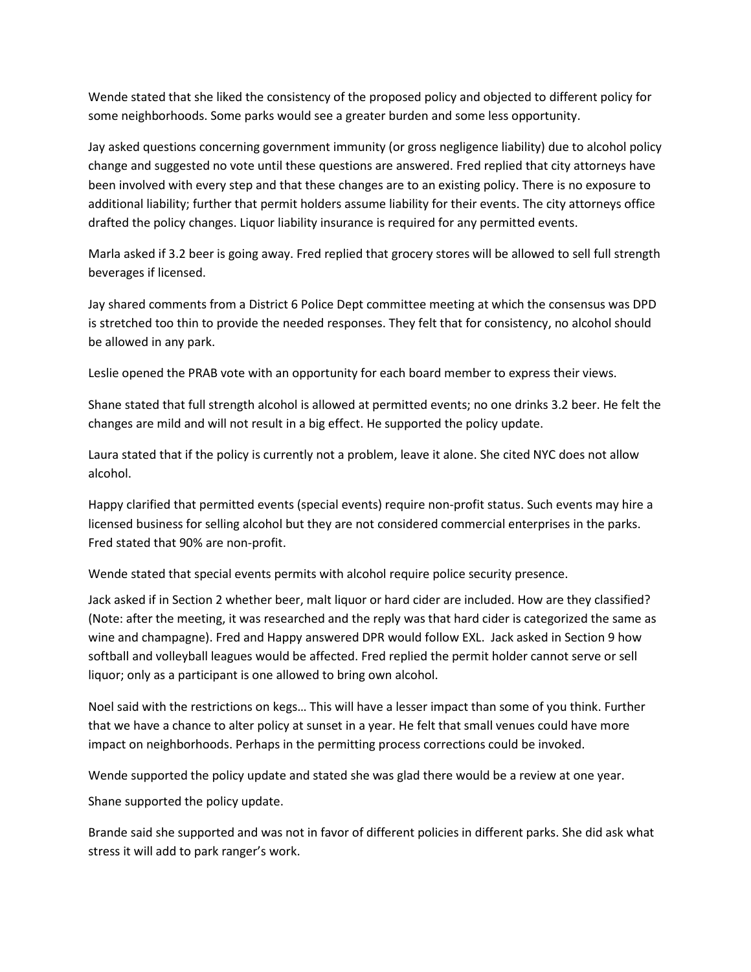Wende stated that she liked the consistency of the proposed policy and objected to different policy for some neighborhoods. Some parks would see a greater burden and some less opportunity.

Jay asked questions concerning government immunity (or gross negligence liability) due to alcohol policy change and suggested no vote until these questions are answered. Fred replied that city attorneys have been involved with every step and that these changes are to an existing policy. There is no exposure to additional liability; further that permit holders assume liability for their events. The city attorneys office drafted the policy changes. Liquor liability insurance is required for any permitted events.

Marla asked if 3.2 beer is going away. Fred replied that grocery stores will be allowed to sell full strength beverages if licensed.

Jay shared comments from a District 6 Police Dept committee meeting at which the consensus was DPD is stretched too thin to provide the needed responses. They felt that for consistency, no alcohol should be allowed in any park.

Leslie opened the PRAB vote with an opportunity for each board member to express their views.

Shane stated that full strength alcohol is allowed at permitted events; no one drinks 3.2 beer. He felt the changes are mild and will not result in a big effect. He supported the policy update.

Laura stated that if the policy is currently not a problem, leave it alone. She cited NYC does not allow alcohol.

Happy clarified that permitted events (special events) require non-profit status. Such events may hire a licensed business for selling alcohol but they are not considered commercial enterprises in the parks. Fred stated that 90% are non-profit.

Wende stated that special events permits with alcohol require police security presence.

Jack asked if in Section 2 whether beer, malt liquor or hard cider are included. How are they classified? (Note: after the meeting, it was researched and the reply was that hard cider is categorized the same as wine and champagne). Fred and Happy answered DPR would follow EXL. Jack asked in Section 9 how softball and volleyball leagues would be affected. Fred replied the permit holder cannot serve or sell liquor; only as a participant is one allowed to bring own alcohol.

Noel said with the restrictions on kegs… This will have a lesser impact than some of you think. Further that we have a chance to alter policy at sunset in a year. He felt that small venues could have more impact on neighborhoods. Perhaps in the permitting process corrections could be invoked.

Wende supported the policy update and stated she was glad there would be a review at one year. Shane supported the policy update.

Brande said she supported and was not in favor of different policies in different parks. She did ask what stress it will add to park ranger's work.